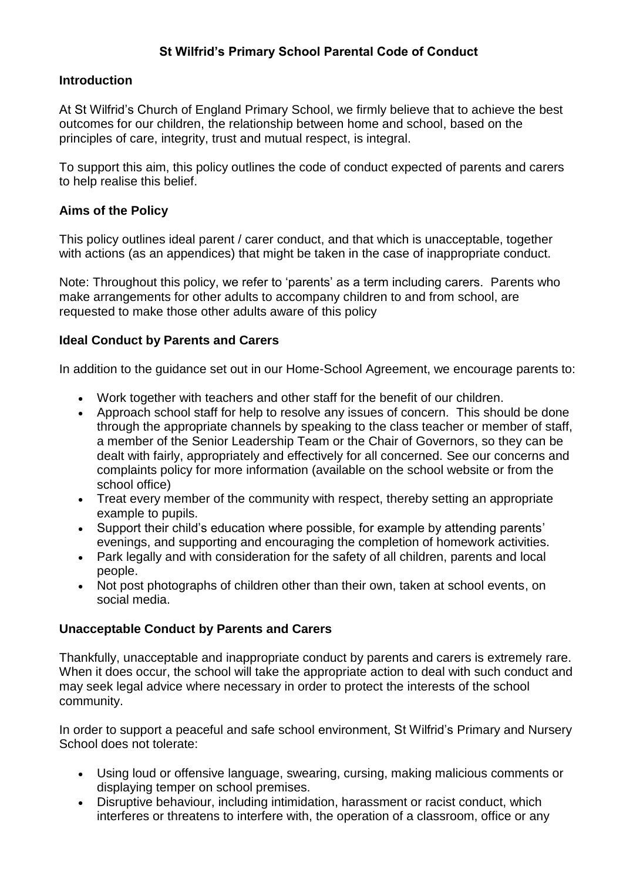# **St Wilfrid's Primary School Parental Code of Conduct**

### **Introduction**

At St Wilfrid's Church of England Primary School, we firmly believe that to achieve the best outcomes for our children, the relationship between home and school, based on the principles of care, integrity, trust and mutual respect, is integral.

To support this aim, this policy outlines the code of conduct expected of parents and carers to help realise this belief.

### **Aims of the Policy**

This policy outlines ideal parent / carer conduct, and that which is unacceptable, together with actions (as an appendices) that might be taken in the case of inappropriate conduct.

Note: Throughout this policy, we refer to 'parents' as a term including carers. Parents who make arrangements for other adults to accompany children to and from school, are requested to make those other adults aware of this policy

### **Ideal Conduct by Parents and Carers**

In addition to the guidance set out in our Home-School Agreement, we encourage parents to:

- Work together with teachers and other staff for the benefit of our children.
- Approach school staff for help to resolve any issues of concern. This should be done through the appropriate channels by speaking to the class teacher or member of staff, a member of the Senior Leadership Team or the Chair of Governors, so they can be dealt with fairly, appropriately and effectively for all concerned. See our concerns and complaints policy for more information (available on the school website or from the school office)
- Treat every member of the community with respect, thereby setting an appropriate example to pupils.
- Support their child's education where possible, for example by attending parents' evenings, and supporting and encouraging the completion of homework activities.
- Park legally and with consideration for the safety of all children, parents and local people.
- Not post photographs of children other than their own, taken at school events, on social media.

### **Unacceptable Conduct by Parents and Carers**

Thankfully, unacceptable and inappropriate conduct by parents and carers is extremely rare. When it does occur, the school will take the appropriate action to deal with such conduct and may seek legal advice where necessary in order to protect the interests of the school community.

In order to support a peaceful and safe school environment, St Wilfrid's Primary and Nursery School does not tolerate:

- Using loud or offensive language, swearing, cursing, making malicious comments or displaying temper on school premises.
- Disruptive behaviour, including intimidation, harassment or racist conduct, which interferes or threatens to interfere with, the operation of a classroom, office or any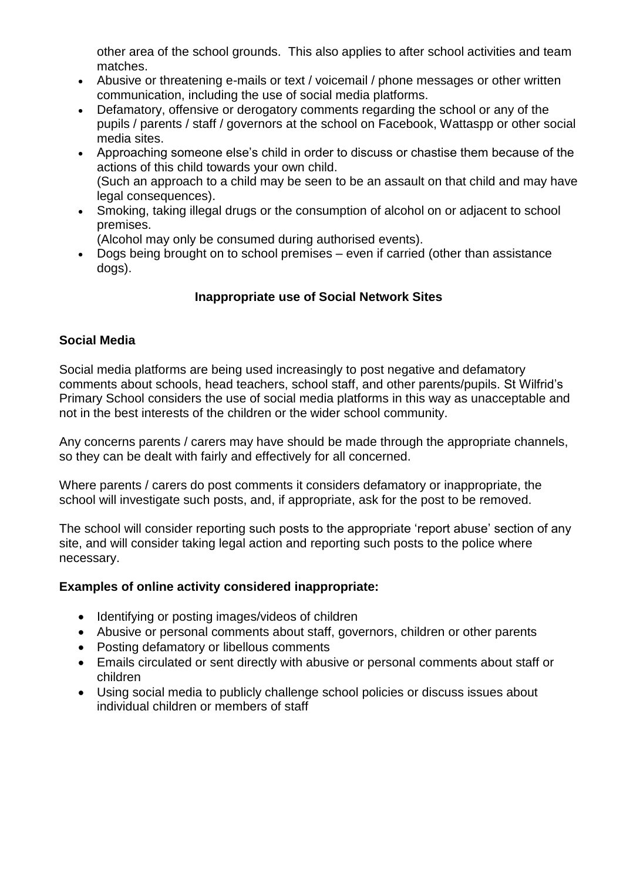other area of the school grounds. This also applies to after school activities and team matches.

- Abusive or threatening e-mails or text / voicemail / phone messages or other written communication, including the use of social media platforms.
- Defamatory, offensive or derogatory comments regarding the school or any of the pupils / parents / staff / governors at the school on Facebook, Wattaspp or other social media sites.
- Approaching someone else's child in order to discuss or chastise them because of the actions of this child towards your own child. (Such an approach to a child may be seen to be an assault on that child and may have legal consequences).
- Smoking, taking illegal drugs or the consumption of alcohol on or adjacent to school premises.
	- (Alcohol may only be consumed during authorised events).
- Dogs being brought on to school premises even if carried (other than assistance dogs).

# **Inappropriate use of Social Network Sites**

# **Social Media**

Social media platforms are being used increasingly to post negative and defamatory comments about schools, head teachers, school staff, and other parents/pupils. St Wilfrid's Primary School considers the use of social media platforms in this way as unacceptable and not in the best interests of the children or the wider school community.

Any concerns parents / carers may have should be made through the appropriate channels, so they can be dealt with fairly and effectively for all concerned.

Where parents / carers do post comments it considers defamatory or inappropriate, the school will investigate such posts, and, if appropriate, ask for the post to be removed.

The school will consider reporting such posts to the appropriate 'report abuse' section of any site, and will consider taking legal action and reporting such posts to the police where necessary.

# **Examples of online activity considered inappropriate:**

- Identifying or posting images/videos of children
- Abusive or personal comments about staff, governors, children or other parents
- Posting defamatory or libellous comments
- Emails circulated or sent directly with abusive or personal comments about staff or children
- Using social media to publicly challenge school policies or discuss issues about individual children or members of staff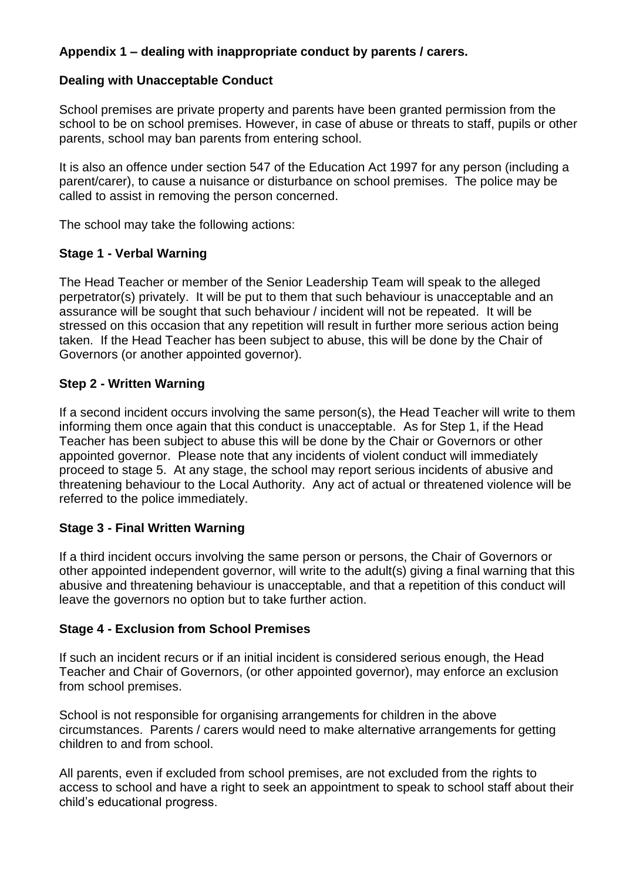# **Appendix 1 – dealing with inappropriate conduct by parents / carers.**

# **Dealing with Unacceptable Conduct**

School premises are private property and parents have been granted permission from the school to be on school premises. However, in case of abuse or threats to staff, pupils or other parents, school may ban parents from entering school.

It is also an offence under section 547 of the Education Act 1997 for any person (including a parent/carer), to cause a nuisance or disturbance on school premises. The police may be called to assist in removing the person concerned.

The school may take the following actions:

# **Stage 1 - Verbal Warning**

The Head Teacher or member of the Senior Leadership Team will speak to the alleged perpetrator(s) privately. It will be put to them that such behaviour is unacceptable and an assurance will be sought that such behaviour / incident will not be repeated. It will be stressed on this occasion that any repetition will result in further more serious action being taken. If the Head Teacher has been subject to abuse, this will be done by the Chair of Governors (or another appointed governor).

### **Step 2 - Written Warning**

If a second incident occurs involving the same person(s), the Head Teacher will write to them informing them once again that this conduct is unacceptable. As for Step 1, if the Head Teacher has been subject to abuse this will be done by the Chair or Governors or other appointed governor. Please note that any incidents of violent conduct will immediately proceed to stage 5. At any stage, the school may report serious incidents of abusive and threatening behaviour to the Local Authority. Any act of actual or threatened violence will be referred to the police immediately.

# **Stage 3 - Final Written Warning**

If a third incident occurs involving the same person or persons, the Chair of Governors or other appointed independent governor, will write to the adult(s) giving a final warning that this abusive and threatening behaviour is unacceptable, and that a repetition of this conduct will leave the governors no option but to take further action.

### **Stage 4 - Exclusion from School Premises**

If such an incident recurs or if an initial incident is considered serious enough, the Head Teacher and Chair of Governors, (or other appointed governor), may enforce an exclusion from school premises.

School is not responsible for organising arrangements for children in the above circumstances. Parents / carers would need to make alternative arrangements for getting children to and from school.

All parents, even if excluded from school premises, are not excluded from the rights to access to school and have a right to seek an appointment to speak to school staff about their child's educational progress.